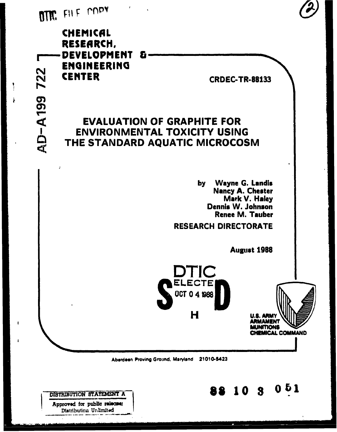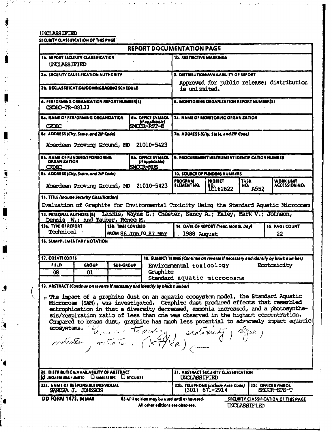J

 $\bar{\epsilon}$ 

 $\ddotsc$  $\bar{z}$  $\mathcal{D}$ ŗ

 $\frac{1}{4}$ 

 $\mathbf{r}$ ÷,

八、通り 1 日本 ■

 $\frac{1}{2}$ l,  $\sim$  , N

 $\frac{1}{2}$  :

 $\bar{\beta}$ 

■ 1.40 mong 1000 mong

J. Ï

C

ŀ.

 $\cdot$ 

| ON OUTLING LIQUIDD                                                                                                                                                                                                                                                                                                                                                                                                 |              |                          |                                                                    |                                        |                                                                                   |                                                 |                            |  |                                                                                      |  |  |  |  |
|--------------------------------------------------------------------------------------------------------------------------------------------------------------------------------------------------------------------------------------------------------------------------------------------------------------------------------------------------------------------------------------------------------------------|--------------|--------------------------|--------------------------------------------------------------------|----------------------------------------|-----------------------------------------------------------------------------------|-------------------------------------------------|----------------------------|--|--------------------------------------------------------------------------------------|--|--|--|--|
| ECURITY CLASSIFICATION OF THIS PAGE                                                                                                                                                                                                                                                                                                                                                                                |              |                          |                                                                    |                                        |                                                                                   |                                                 |                            |  |                                                                                      |  |  |  |  |
|                                                                                                                                                                                                                                                                                                                                                                                                                    |              |                          |                                                                    | <b>REPORT DOCUMENTATION PAGE</b>       |                                                                                   |                                                 |                            |  |                                                                                      |  |  |  |  |
| <b>1a. REPORT SECURITY CLASSIFICATION</b><br><b>INCLASSIFIED</b>                                                                                                                                                                                                                                                                                                                                                   |              |                          |                                                                    |                                        | <b>1b. RESTRICTIVE MARKINGS</b>                                                   |                                                 |                            |  |                                                                                      |  |  |  |  |
| 2a. SECURITY CALSSIFICATION AUTHORITY                                                                                                                                                                                                                                                                                                                                                                              |              |                          |                                                                    | 3. DISTRIBUTION/AVAILABILITY OF REPORT |                                                                                   |                                                 |                            |  |                                                                                      |  |  |  |  |
| 2b. DECLASSIFICATION/DOWNGRADING SCHEDULE                                                                                                                                                                                                                                                                                                                                                                          |              |                          |                                                                    |                                        | is unlimited.                                                                     | Approved for public release; distribution       |                            |  |                                                                                      |  |  |  |  |
| 4. PERFORMING ORGANIZATION REPORT NUMBER(S)<br>CROEC-TR-88133                                                                                                                                                                                                                                                                                                                                                      |              |                          | 5. MONITORING ORGANIZATION REPORT NUMBER(S)                        |                                        |                                                                                   |                                                 |                            |  |                                                                                      |  |  |  |  |
| <b>62. NAME OF PERFORMING ORGANIZATION</b><br><b>CROEC</b>                                                                                                                                                                                                                                                                                                                                                         |              |                          | 6b. OFFICE SYMBOL<br><b>William (if applicable)</b><br>SMOCR-RST-E |                                        |                                                                                   | 7a. NAME OF MONITORING ORGANIZATION             |                            |  |                                                                                      |  |  |  |  |
| 6c. ADDRESS (City, State, and ZIP Code)                                                                                                                                                                                                                                                                                                                                                                            |              |                          |                                                                    |                                        |                                                                                   | 7b. ADDRESS (City, State, and ZIP Code)         |                            |  |                                                                                      |  |  |  |  |
| Aberdeen Proving Ground, MD 21010-5423                                                                                                                                                                                                                                                                                                                                                                             |              |                          |                                                                    |                                        |                                                                                   |                                                 |                            |  |                                                                                      |  |  |  |  |
| 41. NAME OF FUNDING/SPONSORING<br><b>ORGANIZATION</b><br><b>CRDEC</b>                                                                                                                                                                                                                                                                                                                                              |              |                          | <b>Bb. OFFICE SYMBOL</b><br>(if applicable)<br>SMOCR-MUS           |                                        |                                                                                   | 9. PROCUREMENT INSTRUMENT IDENTIFICATION NUMBER |                            |  |                                                                                      |  |  |  |  |
| <b>8c. ADDRESS (City, State, and ZIP Code)</b>                                                                                                                                                                                                                                                                                                                                                                     |              |                          |                                                                    |                                        |                                                                                   | 10. SOURCE OF FUNDING NUMBERS                   |                            |  |                                                                                      |  |  |  |  |
| Aberdeen Proving Ground, MD 21010-5423                                                                                                                                                                                                                                                                                                                                                                             |              |                          |                                                                    |                                        | <b>PROGRAM</b><br>ELEMENT NO.                                                     | <b>PROJECT</b><br>1C162622                      | TASK<br>NO.<br><b>A552</b> |  | <b>WORK UNIT</b><br>ACCESSION NO.                                                    |  |  |  |  |
| 11. TITLE (include Security Classification)                                                                                                                                                                                                                                                                                                                                                                        |              |                          |                                                                    |                                        |                                                                                   |                                                 |                            |  |                                                                                      |  |  |  |  |
| Evaluation of Graphite for Environmental Toxicity Using the Standard Aquatic Microcosm                                                                                                                                                                                                                                                                                                                             |              |                          |                                                                    |                                        |                                                                                   |                                                 |                            |  |                                                                                      |  |  |  |  |
| 12. PERSONAL AUTHORS (S) Landis, Wayne G.; Chester, Nancy A.; Haley, Mark V.; Johnson,<br><u>Dennis W.: and Tauber, Renee M.</u>                                                                                                                                                                                                                                                                                   |              |                          |                                                                    |                                        |                                                                                   |                                                 |                            |  |                                                                                      |  |  |  |  |
| 13a. TYPE OF REPORT<br>Technical                                                                                                                                                                                                                                                                                                                                                                                   |              | <b>13b. TIME COVERED</b> |                                                                    |                                        |                                                                                   | 14. DATE OF REPORT (Year, Month, Day)           |                            |  | <b>15. PAGE COUNT</b>                                                                |  |  |  |  |
|                                                                                                                                                                                                                                                                                                                                                                                                                    |              |                          | FROM 86 Jun TO 87 Mar                                              |                                        | 1988 August                                                                       |                                                 |                            |  | 22                                                                                   |  |  |  |  |
| <b>14. SUMPPLEMENTARY NOTATION</b>                                                                                                                                                                                                                                                                                                                                                                                 |              |                          |                                                                    |                                        |                                                                                   |                                                 |                            |  |                                                                                      |  |  |  |  |
| 17. COSATI CODES                                                                                                                                                                                                                                                                                                                                                                                                   |              |                          |                                                                    |                                        | 18. SUBJECT TERMS (Continue on reverse if necessary and identify by block number) |                                                 |                            |  |                                                                                      |  |  |  |  |
| <b>FIELD</b>                                                                                                                                                                                                                                                                                                                                                                                                       | <b>GROUP</b> | <b>SUB-GROUP</b>         |                                                                    |                                        | Environmental toxicology                                                          |                                                 |                            |  | Ecotoxicity                                                                          |  |  |  |  |
| 08                                                                                                                                                                                                                                                                                                                                                                                                                 | 01           |                          | Graphite                                                           |                                        | Standard aquatic microcosms                                                       |                                                 |                            |  |                                                                                      |  |  |  |  |
| 19. ABSTRACT (Continue on reverse if necessary and identify by block number)                                                                                                                                                                                                                                                                                                                                       |              |                          |                                                                    |                                        |                                                                                   |                                                 |                            |  |                                                                                      |  |  |  |  |
| $_{\odot}$ The impact of a graphite dust on an aquatic ecosystem model, the Standard Aquatic<br>Microcosm (SAM), was investigated. Graphite dust produced effects that resembled<br>eutrophication in that a diversity decreased, ammonia increased, and a photosynthe-<br>sis/respiration ratio of less than one was observed in the highest concentration.<br>consystems. Remediation explored de la département |              |                          |                                                                    |                                        |                                                                                   |                                                 |                            |  | Compared to brass dust, graphite has much less potential to adversely impact aquatic |  |  |  |  |
|                                                                                                                                                                                                                                                                                                                                                                                                                    |              |                          |                                                                    |                                        |                                                                                   |                                                 |                            |  |                                                                                      |  |  |  |  |

 $\mathcal{A}$ 

 $\mathbb{R}^3$  $\sim$  $\mathbf{r}$   $\mathcal{A}_\mathrm{R}$ 

| <b>20. DISTRIBUTION/AVAILABILITY OF ABSTRACT</b><br><b>E UNCLASSIFIED/UNLIMITED</b><br><b>Q</b> SAMEAS RPT. | LJ DTIC USERS                                                                          | 121. ABSTRACT SECURITY CLASSIFICATION<br>UNCLASSIFIED       |                                                             |                                           |  |  |  |  |
|-------------------------------------------------------------------------------------------------------------|----------------------------------------------------------------------------------------|-------------------------------------------------------------|-------------------------------------------------------------|-------------------------------------------|--|--|--|--|
| <b>22a. NAME OF RESPONSIBLE INDIVIDUAL</b><br>SANDRA J. JOHNSON                                             |                                                                                        | 22b. TELEPHONE (include Area Code).<br>$(301)$ $671 - 2914$ |                                                             | <b>122c. OFFICE SYMBOL</b><br>SMOCR-SPS-T |  |  |  |  |
| DD FORM 1473, B4 MAR                                                                                        | <b>63 APR edition may be used until exhausted.</b><br>All other editions are obsolete. |                                                             | <b>SECURITY CLASSIFICATION OF THIS PAGE</b><br>UNCLASSIFIED |                                           |  |  |  |  |

ر دار دارای <u>بازی میدهد و بازی سر کنید و بازی دار</u>

والأسأر الكمير ومكتبة والمراجع والمتحد والمتراه والمخارج والم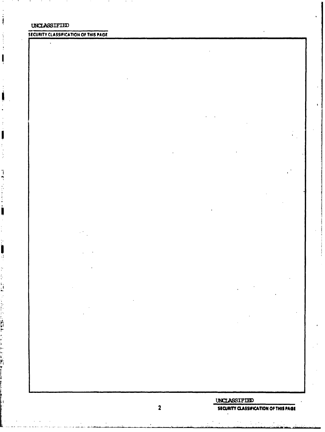## UNCLASSIFIED

 $\ddot{\phantom{a}}$ 

4

 $\overline{\phantom{a}}$  $\overline{\mathbf{I}}$ 

 $\begin{bmatrix} 1 \\ -1 \\ 1 \end{bmatrix}$ 

I

 $\ddot{\ddot{\ }}$ 

机制造

计算机 计数据

۲

SECURITY CLASSIFICATION OF THIS PAGE

## UNCLASSIFIED

## **SECURITY CLASSIFICATION OF THIS PAGE**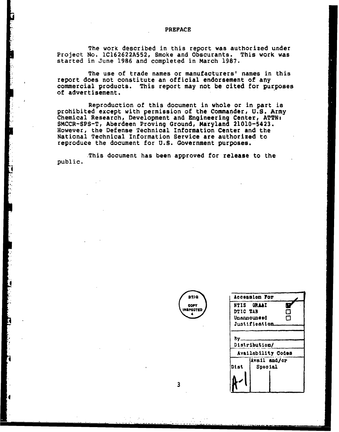#### **PREFACE**

The work described in this report was authorized under Project No. 1C162622A552, Smoke and Obscurants. This work was started in June 1986 and completed in March 1987.

The use of trade names or manufacturers' names in this report does not constitute an official endorsement of any commercial products. This report may not be cited for purposes of advertisement.

Reproduction of this document in whole or in part is prohibited except with permission of the Commander, U.S. Army Chemical Research, Development and Engineering Center, ATTN:<br>SMCCR-SPS-T, Aberdeen Proving Ground, Maryland 21010-5423. However, the Defense Technical Information Center and the National Technical Information Service are authorized to reproduce the document for U.S. Government purposes.

This document has been approved for release to the public.

**D.T.I G** COPY NSPECTED

Accession For NTIS GRAAI О DTIC TAB 0 Unannouneed n Justification  $By$ Distribution/ Availability Codes Avail and/or Special Dist

 $\overline{\mathbf{3}}$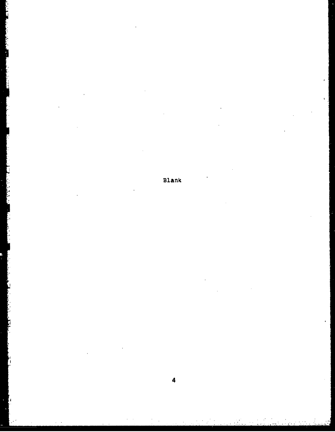Blank

 $\overline{\mathbf{4}}$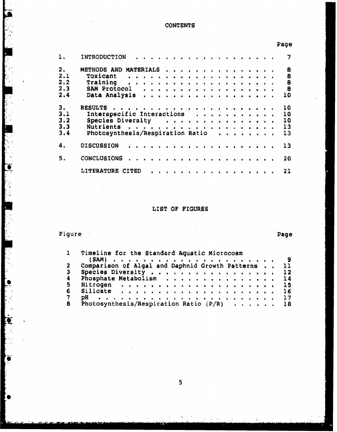# **CONTENTS**

| .,<br>- |  | ۰,<br>۰. |
|---------|--|----------|

|                                | INTRODUCTION                                                                                                                                                                     |                            |
|--------------------------------|----------------------------------------------------------------------------------------------------------------------------------------------------------------------------------|----------------------------|
| 2.<br>2.1<br>2.2<br>2.3<br>2.4 | METHODS AND MATERIALS<br>Toxicant<br>SAM Protocol<br>Data Analysis                                                                                                               | 8<br>8<br>8<br>8<br>10     |
| з.<br>3.1<br>3.2<br>3.3<br>3.4 | Interspecific Interactions<br>Species Diversity (a) and a series and a series of the series of the series of the series of the series of the<br>Photosynthesis/Respiration Ratio | 10<br>10<br>10<br>13<br>13 |
| 4.                             | <b>DISCUSSION</b>                                                                                                                                                                | . <i>.</i><br>13           |
| 5.                             | CONCLUSIONS                                                                                                                                                                      | .<br>20                    |
|                                | LITERATURE CITED                                                                                                                                                                 | 21                         |

# LIST OF FIGURES

Figure

Г

 $\mathbf{I}$ 

ţ.

Page

|                | Timeline for the Standard Aquatic Microcosm        |  |  |  |  |  |  |  |  |  |  |     |
|----------------|----------------------------------------------------|--|--|--|--|--|--|--|--|--|--|-----|
|                |                                                    |  |  |  |  |  |  |  |  |  |  |     |
| $\overline{2}$ | Comparison of Algal and Daphnid Growth Patterns 11 |  |  |  |  |  |  |  |  |  |  |     |
| 3              | Species Diversity                                  |  |  |  |  |  |  |  |  |  |  | 12  |
| 4              | Phosphate Metabolism                               |  |  |  |  |  |  |  |  |  |  | 14  |
|                |                                                    |  |  |  |  |  |  |  |  |  |  | 15  |
| -6             |                                                    |  |  |  |  |  |  |  |  |  |  | -16 |
|                |                                                    |  |  |  |  |  |  |  |  |  |  |     |
|                | Photosynthesis/Respiration Ratio (P/R) 18          |  |  |  |  |  |  |  |  |  |  |     |

 $\overline{\mathbf{5}}$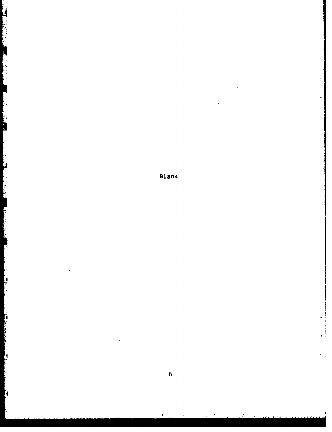Blank

€

۱j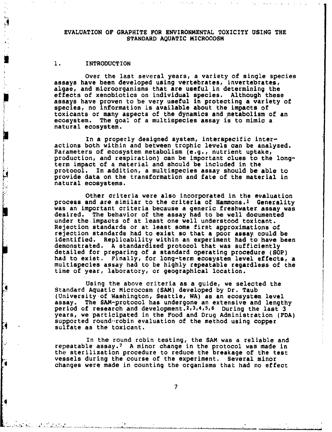### EVALUATION OF GRAPHITE FOR ENVIRONMENTAL TOXICITY USING THE STANDARD AQUATIC MICROCOSM

#### **1.** INTRODUCTION

Over the last several years, a variety of single species assays have been developed using vertebrates, invertebrates, algae, and microorganisms that are useful in determining the effects of xenobiotics on individual species. Although these assays have proven to be very useful in protecting a variety of species, no information is available about the impacts of toxicants or many aspects of the dynamics and metabolism of an ecosystem. The goal of a multispecies assay is to mimic a natural ecosystem.

In a properly designed system, interspecific inter-<br>actions both within and between trophic levels can be analyzed. Parameters of ecosystem metabolism (e.g., nutrient uptake, production, and respiration) can be important clues to the longterm impact of a material and should be included in the protocol. In addition, a multispecies assay should be able to provide data on the transformation and fate of the material in natural ecosystems.

Other criteria were also incorporated in the evaluation process and are similar to the criteria of Hammons.1 Generality was an important criteria because a generic freshwater assay was<br>desired. The behavior of the assay had to be well documented The behavior of the assay had to be well documented under the impacts of at least one well understood toxicant. Rejection standards or at least some first approximations of rejection standards had to exist so that a poor assay could be identified. Replicability within an experiment had to have been demonstrated. A standardized protocol that was sufficiently detailed for preparing of a standard operating procedure (SOP)<br>had to exist. Finally, for long-term ecosystem level effects, a multispecies assay had to be highly repeatable regardless of the time of year, laboratory, or geographical location.

Using the above criteria as a guide, we selected the Standard Aquatic Microcosm (SAM) developed by Dr. Taub (University of Washington, Seattle, WA) as an ecosystem level<br>assay. The SAM-protocol has undergone an extensive and lengthy assay. The SAM-protocol has undergone an extensive and length<br>period of research and development.<sup>2,3,4,5,6</sup> During the last 3 years, we participated in the Food and Drug Administration (FDA) supported round-robin evaluation of the method using copper sulfate as the toxicant.

In the round robin testing, the SAM was a reliable and repeatable assay. 7 A minor change in the protocol was made in the sterilization procedure to reduce the breakage of the test vessels during the course of the experiment. Several minor changes were made in counting the organisms that had no effect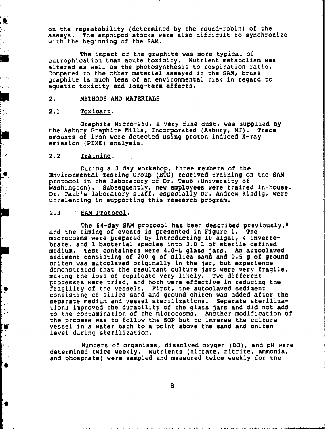on the repeatability (determined by the round-robin) of the assays. The amphipod stocks were also difficult to synchronize with the beginning of the SAM.

The impact of the graphite was more typical of eutrophication than acute toxicity. Nutrient metabolism was altered as well as the photosynthesis to respiration ratio. Compared to the other material assayed in the SAM, brass graphite is much less of an environmental risk in regard to aquatic toxicity and long-term effects.

#### 2. METHODS AND MATERIALS

## 2.1 Toxicant.

Graphite Micro-260, a very fine dust, was supplied by the Asbury Graphite Mills, Incorporated (Asbury, NJ). Trace amounts of iron were detected using proton induced X-ray emission (PIXE) analysis.

### 2.2 Training.

During a 3 day workshop, three members of the Environmental Testing Group (ETG) received training on the SAM protocol in the laboratory of Dr. Taub (University of Washington). Subsequently, new employees were trained in-house. Dr. Taub's laboratory staff, especially Dr. Andrew Kindig, were unrelenting in supporting this research program.

#### 2.3 SAM Protocol.

The 64-day SAM protocol has been described previously, 8<br>timing of events is presented in Figure 1. The and the timing of events is presented in Figure 1. microcosms were prepared by introducting **10** algal, 4 invertebrate, and 1 bacterial species into 3.0 L of sterile defined<br>medium. Test containers were 4.0-L glass jars. An autoclave Test containers were 4.0-L glass jars. An autoclaved sediment consisting of 200 g of silica sand and 0.5 g of ground chiten was autoclaved originally in the jar, but experience<br>demonstrated that the resultant culture jars were very fragile, making the loss of replicate very likely. Two different processes were tried, and both were effective in reducing the fragility of the vessels. First, the autoclaved sediment consisting of silica sand and ground chiten was added after the separate medium and vessel sterilizations. Separate sterilizations improved the durability of the glass jars and did not add to the contamination of the microcosms. Another modification of the process was to follow the SOP but to immerse the culture vessel in a water bath to a point above the sand and chiten level during sterilization.

Numbers of organisms, dissolved oxygen (DO), and pH were determined twice weekly. Nutrients (nitrate, nitrite, ammonia, and phosphate) were sampled and measured twice weekly for the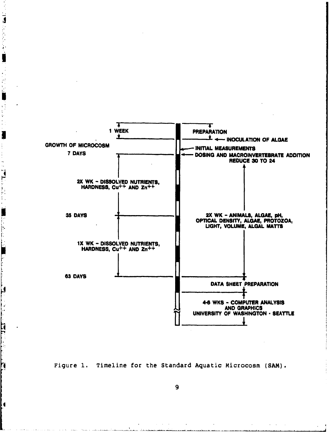

 $\mathcal{D}$ 

 $\mathbf{r}$ 

 $\overline{\mathcal{C}}$ 

Ÿ, 

ا<br>با

ķ.  $\left| \cdot \right|$ 

**HE** 

i<br>F

И



 $\sim$   $\alpha$ 

9

 $\mathcal{A}$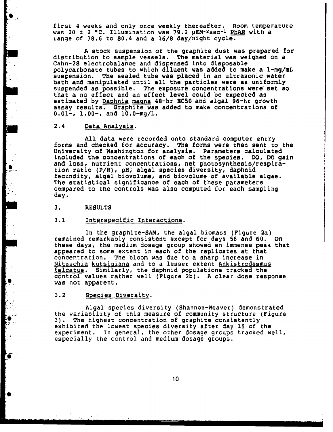first 4 weeks and only once weekly thereafter. Room temperature was 20 ± 2 **OC.** Illumination was 79.2 pEM-2sec-1 PhAR with a Lange of 78.6 to 80.4 and a 16/8 day/night cycle.

A stock suspension of the graphite dust was prepared for distribution to sample vessels. The material was weighed on a Cahn-28 electrobalance and dispensed into disposable polycarbonate tubes to which diluent was added to make a l-mg/mL suspension. The sealed tube was placed in an ultrasonic water bath and manipulated until all the particles were as uniformly bath and manipulated until all the particles were as uniformly suspended as possible. The exposure concentrations were set so that a no effect and an effect level could be expected as estimated by Daphnia magna 48-hr **EC50** and algal 96-hr growth assay results. Graphite was added to make concentrations of 0.01-, 1.00-, and 10.0-mg/L.

## 2.4 Data Analysis.

All data were recorded onto standard computer entry forms and checked for accuracy. The forms were then sent to the University of Washington for analysis. Parameters calculated included the concentrations of each of the species. DO, DO gain<br>and loss, nutrient concentrations, net photosynthesis/respiration ratio (P/R), pH, algal species diversity, daphnid<br>fecundity, algal biovolume, and biovolume of available algae.<br>The statistical significance of each of these parameters<br>compared to the controls was also computed for e

#### 3. RESULTS

#### 3.1 Interspecific Interactions.

In the graphite-SAM, the algal biomass (Figure 2a) remained remarkably consistent except for days 56 and 60. On these days, the medium dosage group showed an immense peak that appeared to some extent in each of the replicates at that concentration. The bloom was due to a sharp increase in Nitzschia kutsiQiana and to a lesser extent Ankistrodesmus falcatus. Similarly, the daphnid populations tracked the control values rather well (Figure 2b). A clear dose response was not apparent.

#### 3.2 Species Diversity.

Algal species diversity (Shannon-Weaver) demonstrated the variability of this measure of community structure (Figure 3). The highest concentration of graphite consistently exhibited the lowest species diversity after day 15 of the experiment. In general, the other dosage groups tracked well, especially the control and medium dosage groups.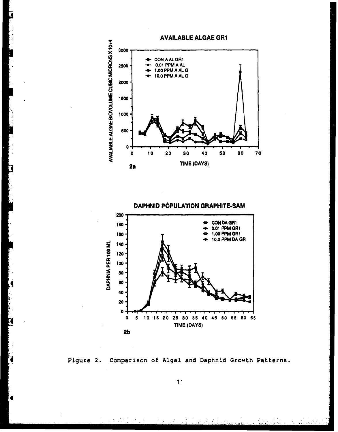





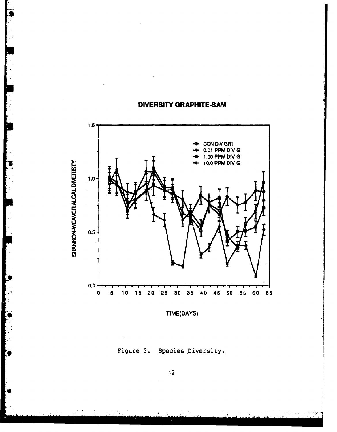

**DIVERSITY GRAPHITE-SAM** 

TIME(DAYS)

Figure 3. Species Diversity.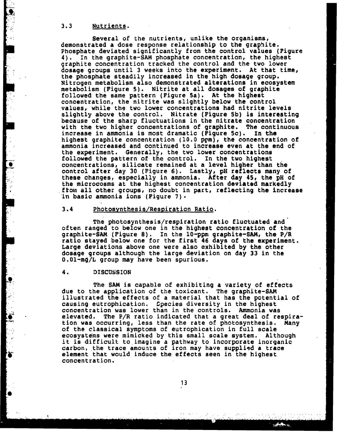3.3 Nutrients.

Several of the nutrients, unlike the organisms, demonstrated a dose response relationship to the graphite. Phosphate deviated significantly from the control values (Figure 4). In the graphite-SAM phosphate concentration, the highest graphite concentration tracked the control and the two lower dosage groups until 3 weeks into the experiment. At that time, the phosphate steadily increased in the high dosage group. Nitrogen metabolism also demonstrated alterations in ecosystem metabolism (Figure 5). Nitrite at all dosages of graphite followed the same pattern (Figure 5a). At the highest concentration, the nitrite was slightly below the control values, while the two lower concentrations had nitrite levels<br>slightly above the control. Nitrate (Figure 5b) is interesting because of the sharp fluctuations in the nitrate concentration with the two higher concentrations of graphite. The continuous increase in ammonia is most dramatic (Figure 5c). In the increase in ammonia is most dramatic (Figure 5c). highest graphite concentration (10.0 ppm), the concentration of ammonia increased and continued to increase even at the end of the experiment. Generally, the two lower concentrations followed the pattern of the control. In the two highest concentrations, silicate remained at a level higher than the control after day 30 (Figure 6). Lastly, pH reflects many of these changes, especially in ammonia. After day 45, the pH of the microcosms at the highest concentration deviated markedly the mail other groups, no doubt in part, reflecting the increase in basic ammonia ions (Figure  $7)$ .

#### 3.4 Photosynthesis/Respiration Ratio.

The photosynthesis/respiration ratio fluctuated and often ranged to below one in the highest concentration of the graphite-SAM (Figure 8). In the 10-ppm graphite-SAM, the P/R ratio stayed below one for the first 46 days of the experiment. Large deviations above one were also exhibited by the other dosage groups although the large deviation on day 33 in the 0.01-m§/L group may have been spurious.

#### 4. DISCUSSION

The SAM is capable of exhibiting a variety of effects due to the application of the toxicant. The graphite-SAM<br>illustrated the effects of a material that has the potential of causing eutrophication. Species diversity in the highest concentration was lower than in the controls. Ammonia was elevated. The P/R ratio indicated that a great deal of respira- tion was occurring, less than the rate of photosynthesis. Many of the classical symptoms of eutrophication in full scale<br>ecosystems were mimicked by this small scale system. Although it is difficult to imagine a pathway to incorporate inorganic carbon, the trace amounts of iron may have supplied a trace element that would induce the effects seen in the highest concentration.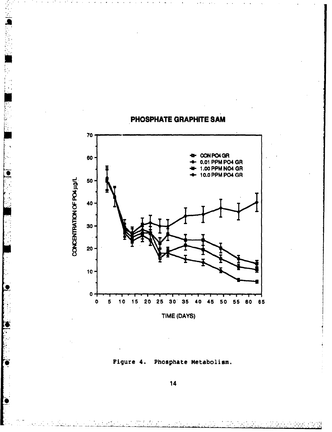

# PHOSPHATE GRAPHITE **SAM**

Figure 4. Phosphate Metabolism.

14

医学法疗疗病 广始谋

., T. - .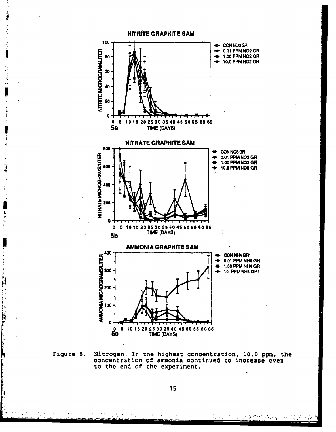

**The Contract of the Contract of the Contract of the Contract of the Contract of the Contract of the Contract of the Contract of the Contract of The Contract of The Contract of The Contract of The Contract of The Contract** 

Figure 5. Nitrogen. In the highest concentration, 10.0 ppm, the concentration of ammonia continued to increase even to the end of the experiment.

 $\mathbf{A}$ 

**ARACTES WARRANTS OF BULL** 

 $\sim 3.82\pm 0.02$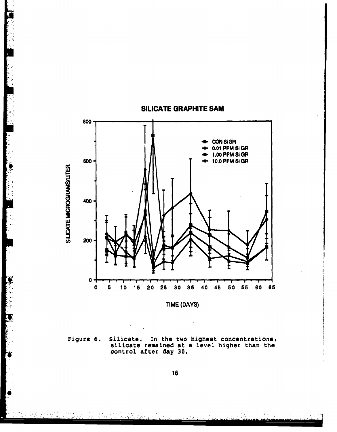

TIME (DAYS)

Silicate. In the two highest concentrations,<br>silicate remained at a level higher than the<br>control after day 30. Figure 6.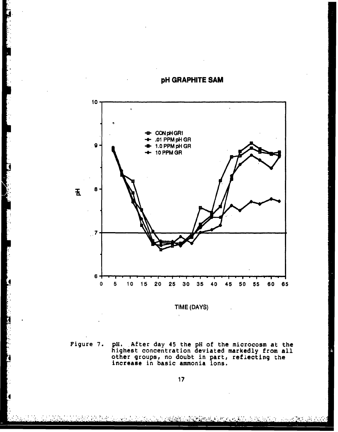**pH** GRAPHITE **SAM**



TIME (DAYS)

Figure 7. pH. After day 45 the pH of the microcosm at the phis inter day 45 the ph of the microcosm at the<br>highest concentration deviated markedly from all nighest concentration deviated markedly from a<br>other groups, no doubt in part, reflecting the increase in basic ammonia ions.

17

de California e compositore a la proven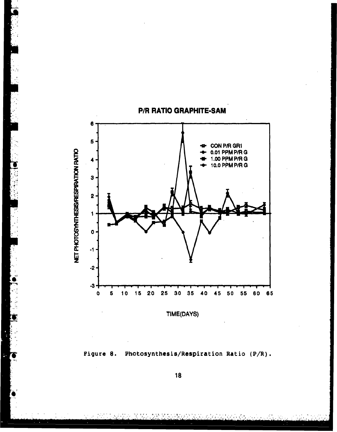

TIME(DAYS)



 $\frac{1}{\alpha}$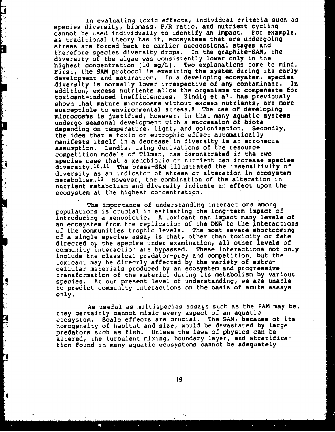In evaluating toxic effects, individual criteria such as species diversity, biomass, P/R ratio, and nutrient cycling cannot be used individually to identify an impact. For example, as traditional theory has it, ecosystems that are undergoing stress are forced back to earlier successional stages and therefore species diversity drops. In the graphite-SAM, the diversity of the algae was consistently lower only in the highest concentration **(10** mg/L). Two explanations come to mind. First, the SAM protocol is examining the system during its early development and maturation. In a developing ecosystem, species diversity is normally lower irrespective of any contaminant. In addition, excess nutrients allow the organisms to compensate for toxicant-induced inefficiencies. Kindig et a]. has previously shown that mature microcosms without excess nutrients, are more susceptible to environmental stress.<sup>9</sup> The use of developing microcosms is justified, however, in that many aquatic systems undergo seasonal development with a succession of biota depending on temperature, light, and colonization. Secondly, the idea that a toxic or eutrophic effect automatically manifests itself in a decrease in diversity is an erroneous assumption. Landis, using derivations of the resource competition models of Tilman, has demonstrated in the two species case that a xenobiotic or nutrient can increase species diversity.10,11 The brass-SAM illustrated the insensitivity of diversity as an indicator of stress or alteration in ecosystem metabolism. 12 However, the combination of the alteration in nutrient metabolism and diversity indicate an effect upon the ecosystem at the highest concentration.

The importance of understanding interactions among populations is crucial in estimating the long-term impact of introducing a xenobiotic. A toxicant can impact many levels of an ecosystem from the replication of the DNA to the interactions of the communities trophic levels. The most severe shortcoming of a single species assay is that, other than toxicity or fate directed by the species under examination, all other levels of community interaction are bypassed. These interactions not only include the classical predator-prey and competition, but the toxicant may be directly affected by the variety of extracellular materials produced by an ecosystem and progressive transformation of the material during its metabolism by various species. At our present level of understanding, we are unable to predict community interactions on the basis of acute assays only.

As useful as multispecies assays such as the SAM may be, they certainly cannot: mimic every aspect of an aquatic ecosystem. Scale effects are crucial. The SAM, because of its homogeneity of habitat and size, would be devastated by large predators such as fish. Unless the laws of physics can be altered, the turbulent mixing, boundary layer, and stratification found in many aquatic ecosystems cannot be adequately

 $\blacksquare$ 

t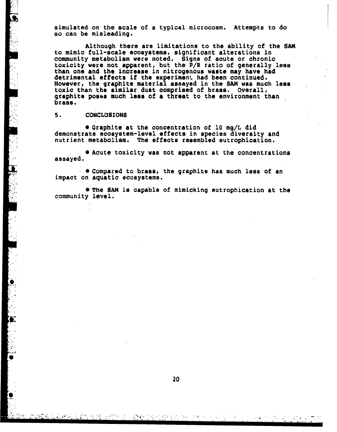simulated on the scale of a typical microcosm. Attempts to do so can be misleading.

Although there are limitations to the ability of the SAM to mimic full-scale ecosystems, significant alterations in community metabolism were noted. Signs of acute or chronic toxicity were not apparent, but the  $P/R$  ratio of generally less than one and the increase in nitrogenous waste may have had detrimental effects if the experiment had been continued. However, the graphite material assayed in the SAM was much less toxic than the similar dust comprised of brass. Overall, graphite poses much less of a threat to the environment than brass.

#### 5. **CONCLUSIONS**

\* Graphite at the concentration of **10** mg/L did - demonstrate ecosystem-level effects in species diversity and nutrient metabolism. The effects resembled eutrophication.

> $\bullet$  Acute toxicity was not apparent at the concentrations assayed.

\* Compared to brass, the graphite has much less of an impact on aquatic ecosystems.

\* The SAM is capable of mimicking eutrophication at the community level.

经制造的过去式和过去分词 医神经性神经性神经 医心包炎 医单位 医阿里克氏征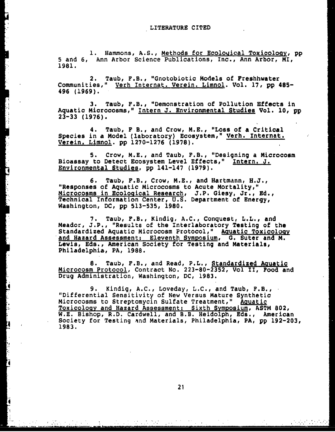**1.** Hammons, A.S., Methods for Ecological Toxicology, pp 5 and 6, Ann Arbor Science Publications, Inc., Ann Arbor, MI, 1981.

2. Taub, F.B., "Gnotobiotic Models of Freshhwater Communities," Verh Internat. Verein. Limnol. Vol. 17, pp 485- 496 (1969).

3. Taub, F.B., "Demonstration of Pollution Effects in Aquatic Microcosms," Intern J. Environmental Studies Vol. **10,** pp 23-33 (1976).

4. Taub, **F** B., and Crow, M.E., "Loss of a Critical Species in a Model (laboratory) Ecosystem," Verh. Internat. Verein. Limnol. pp 1270-1276 (1978).

5. Crow, M.E., and Taub, F.B., "Designing a Microcosm Bioassay to Detect Ecosystem Level Effects," Intern. J. Environmental Studies, pp 141-147 (1979).

6. Taub, F.B., Crow, M.E., and Hartmann, H.J., "Responses of Aquatic Microcosms to Acute Mortality," Responses of Aquatic Microcosms to Acute Mortality,<br>Microcosms in Ecological Research, J.P. Giesy, Jr., Ed. Technical Information Center, U.S. Department of Energy, Washington, DC, pp 513-535, 1980.

7. Taub, F.B., Kindig, A.C., Conquest, L.L., and Meador, J.P., "Results of the Interlaboratory Testing of the Standardized Aquatic Microcosm Protocol," Aquatic Toxicology and Hazard Assessment: Eleventh Symposium, G. Suter and M. Lewis, Eds., American Society for Testing and Materials, Philadelphia., PA, 1988.

8. Taub, F.B., and Read, P.L., Standardized Aquatic Microcosm Protocol, Contract No. 223-80-2352, Vol **I1,** Food and Drug Administration, Washington, DC, 1983.

9. Kindig, A.C., Loveday, L.C., and Taub, F.B., "Differential Sensitivity of New Versus Mature Synthetic<br>Microcosms to Streptomycin Sulfate Treatment," Aquatic Microcosms to Streptomycin Sulfate Treatment," Aquatic<br>Toxicology and Hazard Assessment: Sixth Symposium, ASTM 802 W.E. Bishop, R.D. Cardwell, and B.B. Heidolph, Eds., American Society for Testing and Materials, Philadelphia, PA, pp 192-203, 1983.